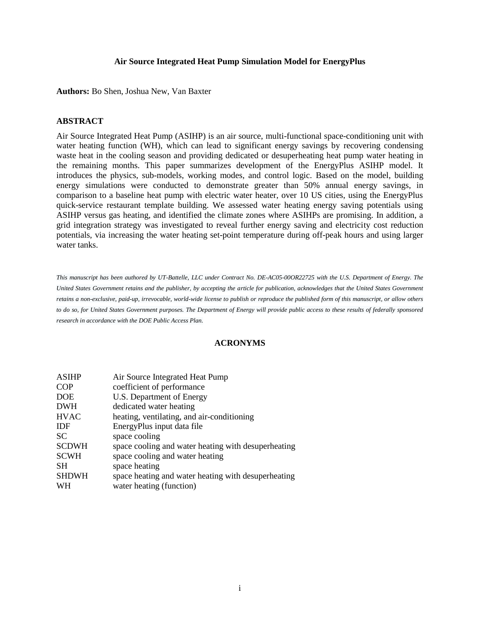#### **Air Source Integrated Heat Pump Simulation Model for EnergyPlus**

**Authors:** Bo Shen, Joshua New, Van Baxter

### **ABSTRACT**

Air Source Integrated Heat Pump (ASIHP) is an air source, multi-functional space-conditioning unit with water heating function (WH), which can lead to significant energy savings by recovering condensing waste heat in the cooling season and providing dedicated or desuperheating heat pump water heating in the remaining months. This paper summarizes development of the EnergyPlus ASIHP model. It introduces the physics, sub-models, working modes, and control logic. Based on the model, building energy simulations were conducted to demonstrate greater than 50% annual energy savings, in comparison to a baseline heat pump with electric water heater, over 10 US cities, using the EnergyPlus quick-service restaurant template building. We assessed water heating energy saving potentials using ASIHP versus gas heating, and identified the climate zones where ASIHPs are promising. In addition, a grid integration strategy was investigated to reveal further energy saving and electricity cost reduction potentials, via increasing the water heating set-point temperature during off-peak hours and using larger water tanks.

*This manuscript has been authored by UT-Battelle, LLC under Contract No. DE-AC05-00OR22725 with the U.S. Department of Energy. The United States Government retains and the publisher, by accepting the article for publication, acknowledges that the United States Government retains a non-exclusive, paid-up, irrevocable, world-wide license to publish or reproduce the published form of this manuscript, or allow others to do so, for United States Government purposes. The Department of Energy will provide public access to these results of federally sponsored research in accordance with the DOE Public Access Plan.*

## **ACRONYMS**

| <b>ASIHP</b> | Air Source Integrated Heat Pump                     |
|--------------|-----------------------------------------------------|
| <b>COP</b>   | coefficient of performance                          |
| <b>DOE</b>   | U.S. Department of Energy                           |
| <b>DWH</b>   | dedicated water heating                             |
| <b>HVAC</b>  | heating, ventilating, and air-conditioning          |
| IDF          | Energy Plus input data file                         |
| <b>SC</b>    | space cooling                                       |
| <b>SCDWH</b> | space cooling and water heating with desuperheating |
| <b>SCWH</b>  | space cooling and water heating                     |
| <b>SH</b>    | space heating                                       |
| <b>SHDWH</b> | space heating and water heating with desuperheating |
| WH           | water heating (function)                            |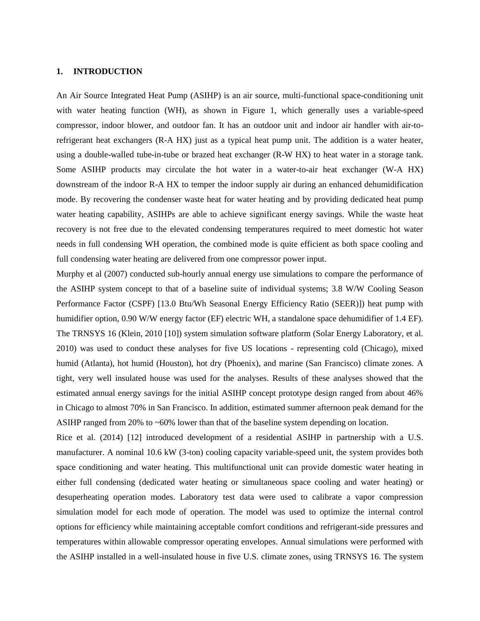## **1. INTRODUCTION**

An Air Source Integrated Heat Pump (ASIHP) is an air source, multi-functional space-conditioning unit with water heating function (WH), as shown in Figure 1, which generally uses a variable-speed compressor, indoor blower, and outdoor fan. It has an outdoor unit and indoor air handler with air-torefrigerant heat exchangers (R-A HX) just as a typical heat pump unit. The addition is a water heater, using a double-walled tube-in-tube or brazed heat exchanger (R-W HX) to heat water in a storage tank. Some ASIHP products may circulate the hot water in a water-to-air heat exchanger (W-A HX) downstream of the indoor R-A HX to temper the indoor supply air during an enhanced dehumidification mode. By recovering the condenser waste heat for water heating and by providing dedicated heat pump water heating capability, ASIHPs are able to achieve significant energy savings. While the waste heat recovery is not free due to the elevated condensing temperatures required to meet domestic hot water needs in full condensing WH operation, the combined mode is quite efficient as both space cooling and full condensing water heating are delivered from one compressor power input.

Murphy et al (2007) conducted sub-hourly annual energy use simulations to compare the performance of the ASIHP system concept to that of a baseline suite of individual systems; 3.8 W/W Cooling Season Performance Factor (CSPF) [13.0 Btu/Wh Seasonal Energy Efficiency Ratio (SEER)]) heat pump with humidifier option, 0.90 W/W energy factor (EF) electric WH, a standalone space dehumidifier of 1.4 EF). The TRNSYS 16 (Klein, 2010 [10]) system simulation software platform (Solar Energy Laboratory, et al. 2010) was used to conduct these analyses for five US locations - representing cold (Chicago), mixed humid (Atlanta), hot humid (Houston), hot dry (Phoenix), and marine (San Francisco) climate zones. A tight, very well insulated house was used for the analyses. Results of these analyses showed that the estimated annual energy savings for the initial ASIHP concept prototype design ranged from about 46% in Chicago to almost 70% in San Francisco. In addition, estimated summer afternoon peak demand for the ASIHP ranged from 20% to ~60% lower than that of the baseline system depending on location.

Rice et al. (2014) [12] introduced development of a residential ASIHP in partnership with a U.S. manufacturer. A nominal 10.6 kW (3-ton) cooling capacity variable-speed unit, the system provides both space conditioning and water heating. This multifunctional unit can provide domestic water heating in either full condensing (dedicated water heating or simultaneous space cooling and water heating) or desuperheating operation modes. Laboratory test data were used to calibrate a vapor compression simulation model for each mode of operation. The model was used to optimize the internal control options for efficiency while maintaining acceptable comfort conditions and refrigerant-side pressures and temperatures within allowable compressor operating envelopes. Annual simulations were performed with the ASIHP installed in a well-insulated house in five U.S. climate zones, using TRNSYS 16. The system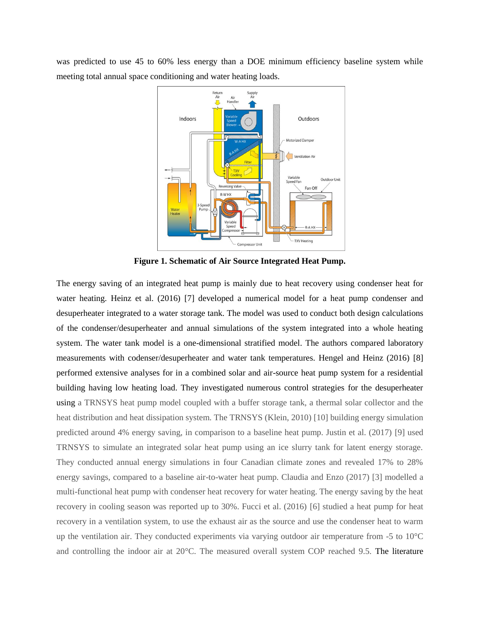was predicted to use 45 to 60% less energy than a DOE minimum efficiency baseline system while meeting total annual space conditioning and water heating loads.



**Figure 1. Schematic of Air Source Integrated Heat Pump.**

The energy saving of an integrated heat pump is mainly due to heat recovery using condenser heat for water heating. Heinz et al. (2016) [7] developed a numerical model for a heat pump condenser and desuperheater integrated to a water storage tank. The model was used to conduct both design calculations of the condenser/desuperheater and annual simulations of the system integrated into a whole heating system. The water tank model is a one-dimensional stratified model. The authors compared laboratory measurements with codenser/desuperheater and water tank temperatures. Hengel and Heinz (2016) [8] performed extensive analyses for in a combined solar and air-source heat pump system for a residential building having low heating load. They investigated numerous control strategies for the desuperheater using a TRNSYS heat pump model coupled with a buffer storage tank, a thermal solar collector and the heat distribution and heat dissipation system. The TRNSYS (Klein, 2010) [10] building energy simulation predicted around 4% energy saving, in comparison to a baseline heat pump. Justin et al. (2017) [9] used TRNSYS to simulate an integrated solar heat pump using an ice slurry tank for latent energy storage. They conducted annual energy simulations in four Canadian climate zones and revealed 17% to 28% energy savings, compared to a baseline air-to-water heat pump. Claudia and Enzo (2017) [3] modelled a multi-functional heat pump with condenser heat recovery for water heating. The energy saving by the heat recovery in cooling season was reported up to 30%. Fucci et al. (2016) [6] studied a heat pump for heat recovery in a ventilation system, to use the exhaust air as the source and use the condenser heat to warm up the ventilation air. They conducted experiments via varying outdoor air temperature from -5 to 10°C and controlling the indoor air at 20°C. The measured overall system COP reached 9.5. The literature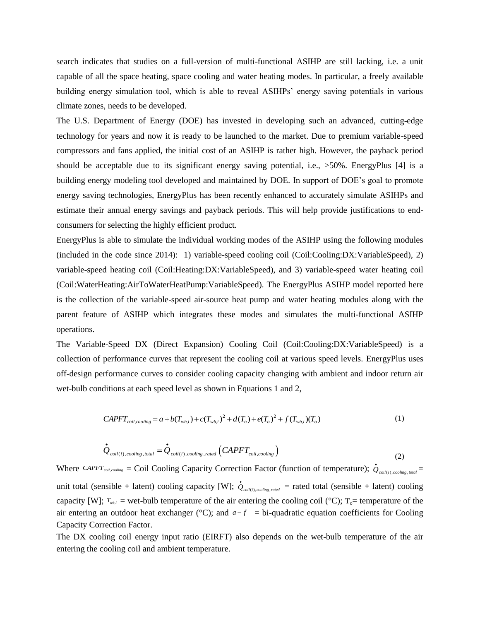search indicates that studies on a full-version of multi-functional ASIHP are still lacking, i.e. a unit capable of all the space heating, space cooling and water heating modes. In particular, a freely available building energy simulation tool, which is able to reveal ASIHPs' energy saving potentials in various climate zones, needs to be developed.

The U.S. Department of Energy (DOE) has invested in developing such an advanced, cutting-edge technology for years and now it is ready to be launched to the market. Due to premium variable-speed compressors and fans applied, the initial cost of an ASIHP is rather high. However, the payback period should be acceptable due to its significant energy saving potential, i.e., >50%. EnergyPlus [4] is a building energy modeling tool developed and maintained by DOE. In support of DOE's goal to promote energy saving technologies, EnergyPlus has been recently enhanced to accurately simulate ASIHPs and estimate their annual energy savings and payback periods. This will help provide justifications to endconsumers for selecting the highly efficient product.

EnergyPlus is able to simulate the individual working modes of the ASIHP using the following modules (included in the code since 2014): 1) variable-speed cooling coil (Coil:Cooling:DX:VariableSpeed), 2) variable-speed heating coil (Coil:Heating:DX:VariableSpeed), and 3) variable-speed water heating coil (Coil:WaterHeating:AirToWaterHeatPump:VariableSpeed). The EnergyPlus ASIHP model reported here is the collection of the variable-speed air-source heat pump and water heating modules along with the parent feature of ASIHP which integrates these modes and simulates the multi-functional ASIHP operations.

The Variable-Speed DX (Direct Expansion) Cooling Coil (Coil:Cooling:DX:VariableSpeed) is a collection of performance curves that represent the cooling coil at various speed levels. EnergyPlus uses off-design performance curves to consider cooling capacity changing with ambient and indoor return air wet-bulb conditions at each speed level as shown in Equations 1 and 2,

$$
CAPFT_{coil,cooling} = a + b(T_{wb,i}) + c(T_{wb,i})^2 + d(T_o) + e(T_o)^2 + f(T_{wb,i})(T_o)
$$
\n(1)

$$
CAPFT_{coil, cooling} = a + b(T_{wb,i}) + c(T_{wb,i})^2 + d(T_o) + e(T_o)^2 + f(T_{wb,i})(T_o)
$$
\n
$$
\dot{Q}_{coil(i), cooling, total} = \dot{Q}_{coil(i), cooling, rated} \left(CAPFT_{coil, cooling}\right)
$$
\n(2)

Where  $\text{CAPFT}_{\text{coll},\text{cooling}} = \text{Coil}$  Cooling Capacity Correction Factor (function of temperature);  $\dot{Q}_{\text{coll}(i),\text{cooling},\text{total}} =$ unit total (sensible + latent) cooling capacity [W];  $\dot{Q}_{coll(i),cooling,rated}$  = rated total (sensible + latent) cooling capacity [W];  $T_{wbi}$  = wet-bulb temperature of the air entering the cooling coil (°C);  $T_o$ = temperature of the air entering an outdoor heat exchanger ( $^{\circ}$ C); and  $a - f = bi$ -quadratic equation coefficients for Cooling Capacity Correction Factor.

The DX cooling coil energy input ratio (EIRFT) also depends on the wet-bulb temperature of the air entering the cooling coil and ambient temperature.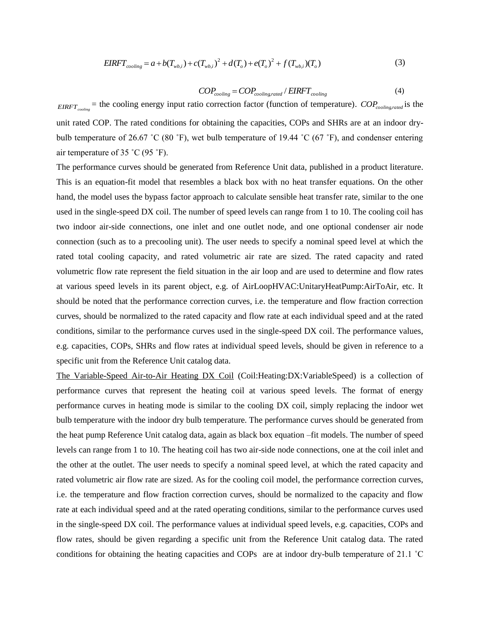$$
EIRFT_{cooling} = a + b(T_{wb,i}) + c(T_{wb,i})^2 + d(T_o) + e(T_o)^2 + f(T_{wb,i})(T_o)
$$
\n(3)

$$
COP_{cooling} = COP_{cooling,rated} / EIRFT_{cooling}
$$
 (4)

 $EIRFT$ <sub>cooling</sub> = the cooling energy input ratio correction factor (function of temperature).  $COP$ <sub>cooling,*rated*</sub> is the unit rated COP. The rated conditions for obtaining the capacities, COPs and SHRs are at an indoor drybulb temperature of 26.67 ˚C (80 ˚F), wet bulb temperature of 19.44 ˚C (67 ˚F), and condenser entering air temperature of 35  $^{\circ}$ C (95  $^{\circ}$ F).

The performance curves should be generated from Reference Unit data, published in a product literature. This is an equation-fit model that resembles a black box with no heat transfer equations. On the other hand, the model uses the bypass factor approach to calculate sensible heat transfer rate, similar to the one used in the single-speed DX coil. The number of speed levels can range from 1 to 10. The cooling coil has two indoor air-side connections, one inlet and one outlet node, and one optional condenser air node connection (such as to a precooling unit). The user needs to specify a nominal speed level at which the rated total cooling capacity, and rated volumetric air rate are sized. The rated capacity and rated volumetric flow rate represent the field situation in the air loop and are used to determine and flow rates at various speed levels in its parent object, e.g. of AirLoopHVAC:UnitaryHeatPump:AirToAir, etc. It should be noted that the performance correction curves, i.e. the temperature and flow fraction correction curves, should be normalized to the rated capacity and flow rate at each individual speed and at the rated conditions, similar to the performance curves used in the single-speed DX coil. The performance values, e.g. capacities, COPs, SHRs and flow rates at individual speed levels, should be given in reference to a specific unit from the Reference Unit catalog data.

The Variable-Speed Air-to-Air Heating DX Coil (Coil:Heating:DX:VariableSpeed) is a collection of performance curves that represent the heating coil at various speed levels. The format of energy performance curves in heating mode is similar to the cooling DX coil, simply replacing the indoor wet bulb temperature with the indoor dry bulb temperature. The performance curves should be generated from the heat pump Reference Unit catalog data, again as black box equation –fit models. The number of speed levels can range from 1 to 10. The heating coil has two air-side node connections, one at the coil inlet and the other at the outlet. The user needs to specify a nominal speed level, at which the rated capacity and rated volumetric air flow rate are sized. As for the cooling coil model, the performance correction curves, i.e. the temperature and flow fraction correction curves, should be normalized to the capacity and flow rate at each individual speed and at the rated operating conditions, similar to the performance curves used in the single-speed DX coil. The performance values at individual speed levels, e.g. capacities, COPs and flow rates, should be given regarding a specific unit from the Reference Unit catalog data. The rated conditions for obtaining the heating capacities and COPs are at indoor dry-bulb temperature of 21.1 ˚C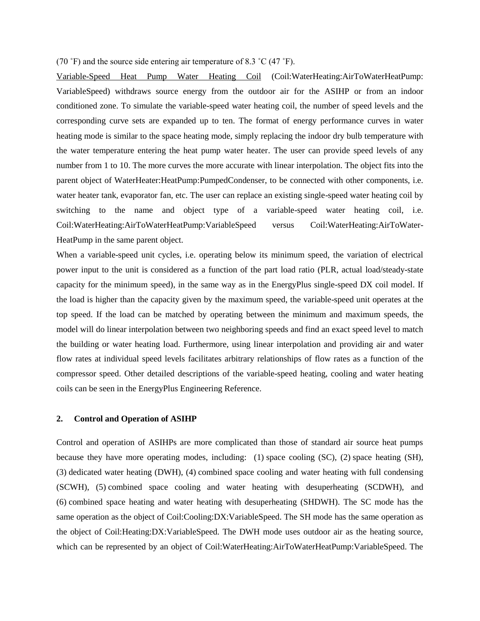(70 °F) and the source side entering air temperature of 8.3  $^{\circ}$ C (47  $^{\circ}$ F).

Variable-Speed Heat Pump Water Heating Coil (Coil:WaterHeating:AirToWaterHeatPump: VariableSpeed) withdraws source energy from the outdoor air for the ASIHP or from an indoor conditioned zone. To simulate the variable-speed water heating coil, the number of speed levels and the corresponding curve sets are expanded up to ten. The format of energy performance curves in water heating mode is similar to the space heating mode, simply replacing the indoor dry bulb temperature with the water temperature entering the heat pump water heater. The user can provide speed levels of any number from 1 to 10. The more curves the more accurate with linear interpolation. The object fits into the parent object of WaterHeater:HeatPump:PumpedCondenser, to be connected with other components, i.e. water heater tank, evaporator fan, etc. The user can replace an existing single-speed water heating coil by switching to the name and object type of a variable-speed water heating coil, i.e. Coil:WaterHeating:AirToWaterHeatPump:VariableSpeed versus Coil:WaterHeating:AirToWater-HeatPump in the same parent object.

When a variable-speed unit cycles, i.e. operating below its minimum speed, the variation of electrical power input to the unit is considered as a function of the part load ratio (PLR, actual load/steady-state capacity for the minimum speed), in the same way as in the EnergyPlus single-speed DX coil model. If the load is higher than the capacity given by the maximum speed, the variable-speed unit operates at the top speed. If the load can be matched by operating between the minimum and maximum speeds, the model will do linear interpolation between two neighboring speeds and find an exact speed level to match the building or water heating load. Furthermore, using linear interpolation and providing air and water flow rates at individual speed levels facilitates arbitrary relationships of flow rates as a function of the compressor speed. Other detailed descriptions of the variable-speed heating, cooling and water heating coils can be seen in the EnergyPlus Engineering Reference.

### **2. Control and Operation of ASIHP**

Control and operation of ASIHPs are more complicated than those of standard air source heat pumps because they have more operating modes, including: (1) space cooling (SC), (2) space heating (SH), (3) dedicated water heating (DWH), (4) combined space cooling and water heating with full condensing (SCWH), (5) combined space cooling and water heating with desuperheating (SCDWH), and (6) combined space heating and water heating with desuperheating (SHDWH). The SC mode has the same operation as the object of Coil:Cooling:DX:VariableSpeed. The SH mode has the same operation as the object of Coil:Heating:DX:VariableSpeed. The DWH mode uses outdoor air as the heating source, which can be represented by an object of Coil:WaterHeating:AirToWaterHeatPump:VariableSpeed. The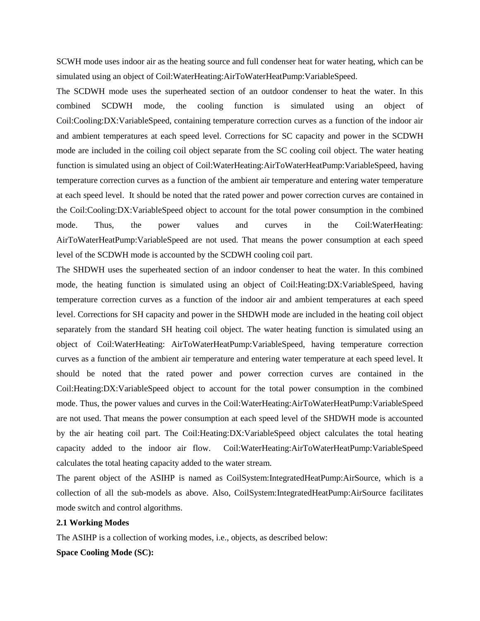SCWH mode uses indoor air as the heating source and full condenser heat for water heating, which can be simulated using an object of Coil:WaterHeating:AirToWaterHeatPump:VariableSpeed.

The SCDWH mode uses the superheated section of an outdoor condenser to heat the water. In this combined SCDWH mode, the cooling function is simulated using an object of Coil:Cooling:DX:VariableSpeed, containing temperature correction curves as a function of the indoor air and ambient temperatures at each speed level. Corrections for SC capacity and power in the SCDWH mode are included in the coiling coil object separate from the SC cooling coil object. The water heating function is simulated using an object of Coil:WaterHeating:AirToWaterHeatPump:VariableSpeed, having temperature correction curves as a function of the ambient air temperature and entering water temperature at each speed level. It should be noted that the rated power and power correction curves are contained in the Coil:Cooling:DX:VariableSpeed object to account for the total power consumption in the combined mode. Thus, the power values and curves in the Coil:WaterHeating: AirToWaterHeatPump:VariableSpeed are not used. That means the power consumption at each speed level of the SCDWH mode is accounted by the SCDWH cooling coil part.

The SHDWH uses the superheated section of an indoor condenser to heat the water. In this combined mode, the heating function is simulated using an object of Coil:Heating:DX:VariableSpeed, having temperature correction curves as a function of the indoor air and ambient temperatures at each speed level. Corrections for SH capacity and power in the SHDWH mode are included in the heating coil object separately from the standard SH heating coil object. The water heating function is simulated using an object of Coil:WaterHeating: AirToWaterHeatPump:VariableSpeed, having temperature correction curves as a function of the ambient air temperature and entering water temperature at each speed level. It should be noted that the rated power and power correction curves are contained in the Coil:Heating:DX:VariableSpeed object to account for the total power consumption in the combined mode. Thus, the power values and curves in the Coil: WaterHeating: AirToWaterHeatPump: VariableSpeed are not used. That means the power consumption at each speed level of the SHDWH mode is accounted by the air heating coil part. The Coil:Heating:DX:VariableSpeed object calculates the total heating capacity added to the indoor air flow. Coil:WaterHeating:AirToWaterHeatPump:VariableSpeed calculates the total heating capacity added to the water stream.

The parent object of the ASIHP is named as CoilSystem:IntegratedHeatPump:AirSource, which is a collection of all the sub-models as above. Also, CoilSystem:IntegratedHeatPump:AirSource facilitates mode switch and control algorithms.

#### **2.1 Working Modes**

The ASIHP is a collection of working modes, i.e., objects, as described below:

**Space Cooling Mode (SC):**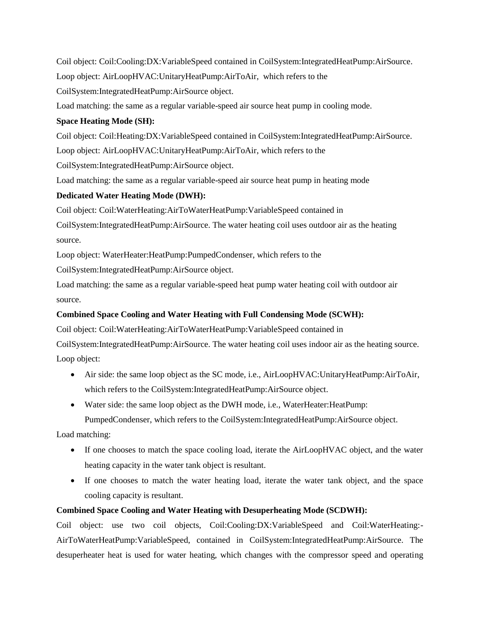Coil object: Coil:Cooling:DX:VariableSpeed contained in CoilSystem:IntegratedHeatPump:AirSource.

Loop object: AirLoopHVAC:UnitaryHeatPump:AirToAir, which refers to the

CoilSystem:IntegratedHeatPump:AirSource object.

Load matching: the same as a regular variable-speed air source heat pump in cooling mode.

# **Space Heating Mode (SH):**

Coil object: Coil:Heating:DX:VariableSpeed contained in CoilSystem:IntegratedHeatPump:AirSource.

Loop object: AirLoopHVAC:UnitaryHeatPump:AirToAir, which refers to the

CoilSystem:IntegratedHeatPump:AirSource object.

Load matching: the same as a regular variable-speed air source heat pump in heating mode

# **Dedicated Water Heating Mode (DWH):**

Coil object: Coil:WaterHeating:AirToWaterHeatPump:VariableSpeed contained in

CoilSystem:IntegratedHeatPump:AirSource. The water heating coil uses outdoor air as the heating source.

Loop object: WaterHeater:HeatPump:PumpedCondenser, which refers to the

CoilSystem:IntegratedHeatPump:AirSource object.

Load matching: the same as a regular variable-speed heat pump water heating coil with outdoor air source.

# **Combined Space Cooling and Water Heating with Full Condensing Mode (SCWH):**

Coil object: Coil:WaterHeating:AirToWaterHeatPump:VariableSpeed contained in

CoilSystem:IntegratedHeatPump:AirSource. The water heating coil uses indoor air as the heating source. Loop object:

- Air side: the same loop object as the SC mode, i.e., AirLoopHVAC:UnitaryHeatPump:AirToAir, which refers to the CoilSystem:IntegratedHeatPump:AirSource object.
- Water side: the same loop object as the DWH mode, i.e., WaterHeater:HeatPump:

PumpedCondenser, which refers to the CoilSystem:IntegratedHeatPump:AirSource object.

Load matching:

- If one chooses to match the space cooling load, iterate the AirLoopHVAC object, and the water heating capacity in the water tank object is resultant.
- If one chooses to match the water heating load, iterate the water tank object, and the space cooling capacity is resultant.

# **Combined Space Cooling and Water Heating with Desuperheating Mode (SCDWH):**

Coil object: use two coil objects, Coil:Cooling:DX:VariableSpeed and Coil:WaterHeating:- AirToWaterHeatPump:VariableSpeed, contained in CoilSystem:IntegratedHeatPump:AirSource. The desuperheater heat is used for water heating, which changes with the compressor speed and operating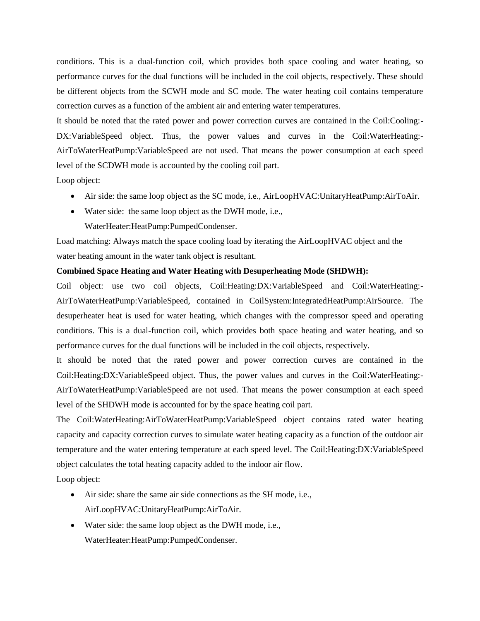conditions. This is a dual-function coil, which provides both space cooling and water heating, so performance curves for the dual functions will be included in the coil objects, respectively. These should be different objects from the SCWH mode and SC mode. The water heating coil contains temperature correction curves as a function of the ambient air and entering water temperatures.

It should be noted that the rated power and power correction curves are contained in the Coil:Cooling:- DX:VariableSpeed object. Thus, the power values and curves in the Coil:WaterHeating:- AirToWaterHeatPump:VariableSpeed are not used. That means the power consumption at each speed level of the SCDWH mode is accounted by the cooling coil part.

Loop object:

- Air side: the same loop object as the SC mode, i.e., AirLoopHVAC:UnitaryHeatPump:AirToAir.
- Water side: the same loop object as the DWH mode, i.e.,
	- WaterHeater:HeatPump:PumpedCondenser.

Load matching: Always match the space cooling load by iterating the AirLoopHVAC object and the water heating amount in the water tank object is resultant.

## **Combined Space Heating and Water Heating with Desuperheating Mode (SHDWH):**

Coil object: use two coil objects, Coil:Heating:DX:VariableSpeed and Coil:WaterHeating:- AirToWaterHeatPump:VariableSpeed, contained in CoilSystem:IntegratedHeatPump:AirSource. The desuperheater heat is used for water heating, which changes with the compressor speed and operating conditions. This is a dual-function coil, which provides both space heating and water heating, and so performance curves for the dual functions will be included in the coil objects, respectively.

It should be noted that the rated power and power correction curves are contained in the Coil:Heating:DX:VariableSpeed object. Thus, the power values and curves in the Coil:WaterHeating:- AirToWaterHeatPump:VariableSpeed are not used. That means the power consumption at each speed level of the SHDWH mode is accounted for by the space heating coil part.

The Coil:WaterHeating:AirToWaterHeatPump:VariableSpeed object contains rated water heating capacity and capacity correction curves to simulate water heating capacity as a function of the outdoor air temperature and the water entering temperature at each speed level. The Coil:Heating:DX:VariableSpeed object calculates the total heating capacity added to the indoor air flow.

Loop object:

- Air side: share the same air side connections as the SH mode, i.e., AirLoopHVAC:UnitaryHeatPump:AirToAir.
- Water side: the same loop object as the DWH mode, i.e., WaterHeater:HeatPump:PumpedCondenser.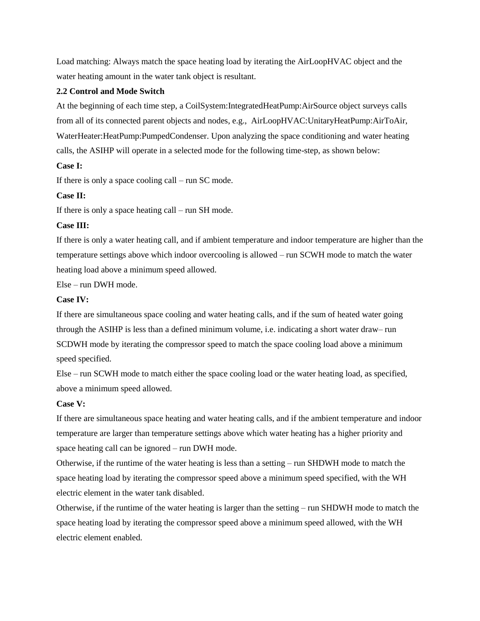Load matching: Always match the space heating load by iterating the AirLoopHVAC object and the water heating amount in the water tank object is resultant.

# **2.2 Control and Mode Switch**

At the beginning of each time step, a CoilSystem:IntegratedHeatPump:AirSource object surveys calls from all of its connected parent objects and nodes, e.g., AirLoopHVAC:UnitaryHeatPump:AirToAir, WaterHeater: HeatPump: PumpedCondenser. Upon analyzing the space conditioning and water heating calls, the ASIHP will operate in a selected mode for the following time-step, as shown below:

# **Case I:**

If there is only a space cooling call – run SC mode.

# **Case II:**

If there is only a space heating call – run SH mode.

# **Case III:**

If there is only a water heating call, and if ambient temperature and indoor temperature are higher than the temperature settings above which indoor overcooling is allowed – run SCWH mode to match the water heating load above a minimum speed allowed.

Else – run DWH mode.

# **Case IV:**

If there are simultaneous space cooling and water heating calls, and if the sum of heated water going through the ASIHP is less than a defined minimum volume, i.e. indicating a short water draw– run SCDWH mode by iterating the compressor speed to match the space cooling load above a minimum speed specified.

Else – run SCWH mode to match either the space cooling load or the water heating load, as specified, above a minimum speed allowed.

# **Case V:**

If there are simultaneous space heating and water heating calls, and if the ambient temperature and indoor temperature are larger than temperature settings above which water heating has a higher priority and space heating call can be ignored – run DWH mode.

Otherwise, if the runtime of the water heating is less than a setting – run SHDWH mode to match the space heating load by iterating the compressor speed above a minimum speed specified, with the WH electric element in the water tank disabled.

Otherwise, if the runtime of the water heating is larger than the setting – run SHDWH mode to match the space heating load by iterating the compressor speed above a minimum speed allowed, with the WH electric element enabled.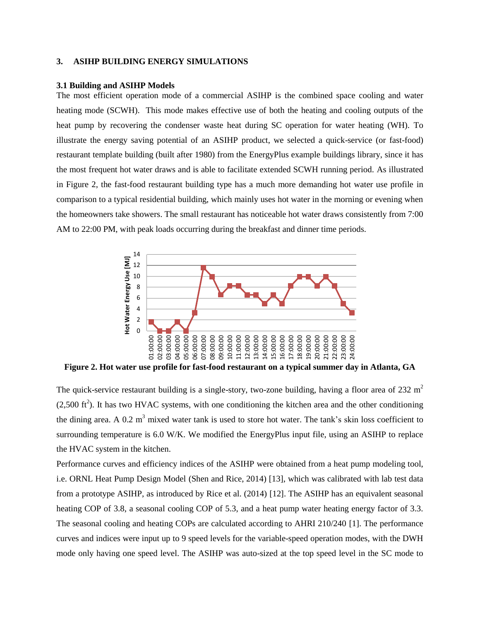#### **3. ASIHP BUILDING ENERGY SIMULATIONS**

#### **3.1 Building and ASIHP Models**

The most efficient operation mode of a commercial ASIHP is the combined space cooling and water heating mode (SCWH). This mode makes effective use of both the heating and cooling outputs of the heat pump by recovering the condenser waste heat during SC operation for water heating (WH). To illustrate the energy saving potential of an ASIHP product, we selected a quick-service (or fast-food) restaurant template building (built after 1980) from the EnergyPlus example buildings library, since it has the most frequent hot water draws and is able to facilitate extended SCWH running period. As illustrated in Figure 2, the fast-food restaurant building type has a much more demanding hot water use profile in comparison to a typical residential building, which mainly uses hot water in the morning or evening when the homeowners take showers. The small restaurant has noticeable hot water draws consistently from 7:00 AM to 22:00 PM, with peak loads occurring during the breakfast and dinner time periods.



**Figure 2. Hot water use profile for fast-food restaurant on a typical summer day in Atlanta, GA**

The quick-service restaurant building is a single-story, two-zone building, having a floor area of  $232 \text{ m}^2$  $(2,500 \text{ ft}^2)$ . It has two HVAC systems, with one conditioning the kitchen area and the other conditioning the dining area. A  $0.2 \text{ m}^3$  mixed water tank is used to store hot water. The tank's skin loss coefficient to surrounding temperature is 6.0 W/K. We modified the EnergyPlus input file, using an ASIHP to replace the HVAC system in the kitchen.

Performance curves and efficiency indices of the ASIHP were obtained from a heat pump modeling tool, i.e. ORNL Heat Pump Design Model (Shen and Rice, 2014) [13], which was calibrated with lab test data from a prototype ASIHP, as introduced by Rice et al. (2014) [12]. The ASIHP has an equivalent seasonal heating COP of 3.8, a seasonal cooling COP of 5.3, and a heat pump water heating energy factor of 3.3. The seasonal cooling and heating COPs are calculated according to AHRI 210/240 [1]. The performance curves and indices were input up to 9 speed levels for the variable-speed operation modes, with the DWH mode only having one speed level. The ASIHP was auto-sized at the top speed level in the SC mode to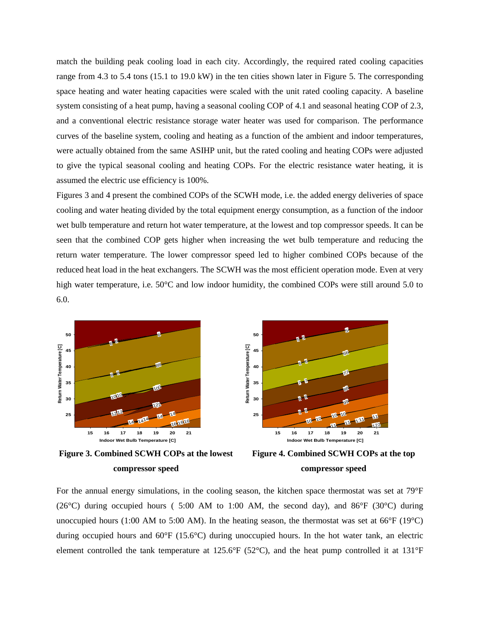match the building peak cooling load in each city. Accordingly, the required rated cooling capacities range from 4.3 to 5.4 tons (15.1 to 19.0 kW) in the ten cities shown later in Figure 5. The corresponding space heating and water heating capacities were scaled with the unit rated cooling capacity. A baseline system consisting of a heat pump, having a seasonal cooling COP of 4.1 and seasonal heating COP of 2.3, and a conventional electric resistance storage water heater was used for comparison. The performance curves of the baseline system, cooling and heating as a function of the ambient and indoor temperatures, were actually obtained from the same ASIHP unit, but the rated cooling and heating COPs were adjusted to give the typical seasonal cooling and heating COPs. For the electric resistance water heating, it is assumed the electric use efficiency is 100%.

Figures 3 and 4 present the combined COPs of the SCWH mode, i.e. the added energy deliveries of space cooling and water heating divided by the total equipment energy consumption, as a function of the indoor wet bulb temperature and return hot water temperature, at the lowest and top compressor speeds. It can be seen that the combined COP gets higher when increasing the wet bulb temperature and reducing the return water temperature. The lower compressor speed led to higher combined COPs because of the reduced heat load in the heat exchangers. The SCWH was the most efficient operation mode. Even at very high water temperature, i.e. 50°C and low indoor humidity, the combined COPs were still around 5.0 to 6.0.



**Figure 3. Combined SCWH COPs at the lowest compressor speed**





For the annual energy simulations, in the cooling season, the kitchen space thermostat was set at 79°F (26<sup>o</sup>C) during occupied hours (5:00 AM to 1:00 AM, the second day), and 86<sup>o</sup>F (30<sup>o</sup>C) during unoccupied hours (1:00 AM to 5:00 AM). In the heating season, the thermostat was set at 66 $\degree$ F (19 $\degree$ C) during occupied hours and 60°F (15.6°C) during unoccupied hours. In the hot water tank, an electric element controlled the tank temperature at 125.6°F (52°C), and the heat pump controlled it at 131°F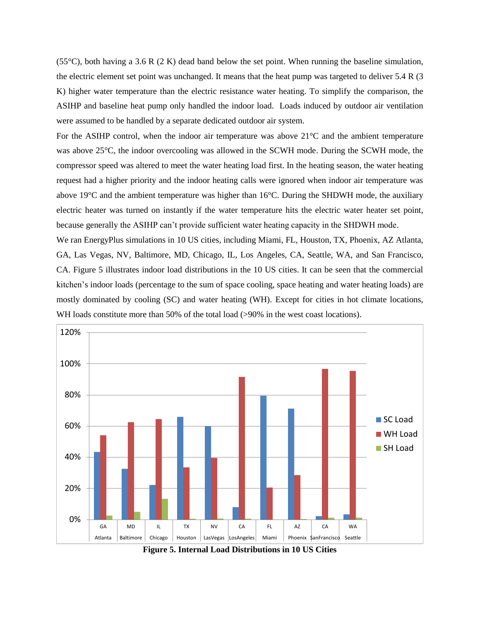(55 $^{\circ}$ C), both having a 3.6 R (2 K) dead band below the set point. When running the baseline simulation, the electric element set point was unchanged. It means that the heat pump was targeted to deliver 5.4 R (3 K) higher water temperature than the electric resistance water heating. To simplify the comparison, the ASIHP and baseline heat pump only handled the indoor load. Loads induced by outdoor air ventilation were assumed to be handled by a separate dedicated outdoor air system.

For the ASIHP control, when the indoor air temperature was above  $21^{\circ}$ C and the ambient temperature was above 25°C, the indoor overcooling was allowed in the SCWH mode. During the SCWH mode, the compressor speed was altered to meet the water heating load first. In the heating season, the water heating request had a higher priority and the indoor heating calls were ignored when indoor air temperature was above 19°C and the ambient temperature was higher than 16°C. During the SHDWH mode, the auxiliary electric heater was turned on instantly if the water temperature hits the electric water heater set point, because generally the ASIHP can't provide sufficient water heating capacity in the SHDWH mode.

We ran EnergyPlus simulations in 10 US cities, including Miami, FL, Houston, TX, Phoenix, AZ Atlanta, GA, Las Vegas, NV, Baltimore, MD, Chicago, IL, Los Angeles, CA, Seattle, WA, and San Francisco, CA. Figure 5 illustrates indoor load distributions in the 10 US cities. It can be seen that the commercial kitchen's indoor loads (percentage to the sum of space cooling, space heating and water heating loads) are mostly dominated by cooling (SC) and water heating (WH). Except for cities in hot climate locations, WH loads constitute more than 50% of the total load (>90% in the west coast locations).



**Figure 5. Internal Load Distributions in 10 US Cities**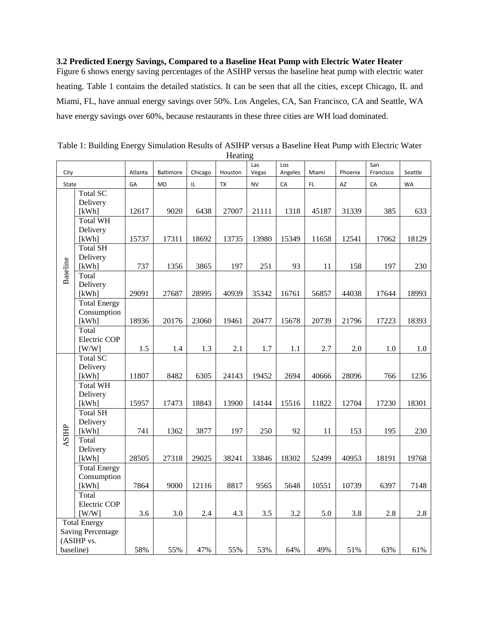**3.2 Predicted Energy Savings, Compared to a Baseline Heat Pump with Electric Water Heater** Figure 6 shows energy saving percentages of the ASIHP versus the baseline heat pump with electric water heating. Table 1 contains the detailed statistics. It can be seen that all the cities, except Chicago, IL and Miami, FL, have annual energy savings over 50%. Los Angeles, CA, San Francisco, CA and Seattle, WA have energy savings over 60%, because restaurants in these three cities are WH load dominated.

| ттеаш                                                         |                                             |         |           |         |         |              |                |       |         |                  |         |  |
|---------------------------------------------------------------|---------------------------------------------|---------|-----------|---------|---------|--------------|----------------|-------|---------|------------------|---------|--|
| City                                                          |                                             | Atlanta | Baltimore | Chicago | Houston | Las<br>Vegas | Los<br>Angeles | Miami | Phoenix | San<br>Francisco | Seattle |  |
| State                                                         |                                             | GA      | <b>MD</b> | IL      | TX      | <b>NV</b>    | CA             | FL    | AZ      | CA               | WA      |  |
| Baseline                                                      | <b>Total SC</b><br>Delivery<br>[kWh]        | 12617   | 9020      | 6438    | 27007   | 21111        | 1318           | 45187 | 31339   | 385              | 633     |  |
|                                                               | <b>Total WH</b><br>Delivery                 |         |           |         |         |              |                |       |         |                  |         |  |
|                                                               | [kWh]                                       | 15737   | 17311     | 18692   | 13735   | 13980        | 15349          | 11658 | 12541   | 17062            | 18129   |  |
|                                                               | <b>Total SH</b><br>Delivery<br>[kWh]        | 737     | 1356      | 3865    | 197     | 251          | 93             | 11    | 158     | 197              | 230     |  |
|                                                               | Total<br>Delivery                           |         |           |         |         |              |                |       |         |                  |         |  |
|                                                               | [kWh]<br><b>Total Energy</b>                | 29091   | 27687     | 28995   | 40939   | 35342        | 16761          | 56857 | 44038   | 17644            | 18993   |  |
|                                                               | Consumption<br>[kWh]                        | 18936   | 20176     | 23060   | 19461   | 20477        | 15678          | 20739 | 21796   | 17223            | 18393   |  |
|                                                               | Total<br>Electric COP<br>[W/W]              | 1.5     | 1.4       | 1.3     | 2.1     | 1.7          | 1.1            | 2.7   | 2.0     | 1.0              | 1.0     |  |
| ASIHP                                                         | <b>Total SC</b><br>Delivery<br>[kWh]        | 11807   | 8482      | 6305    | 24143   | 19452        | 2694           | 40666 | 28096   | 766              | 1236    |  |
|                                                               | <b>Total WH</b><br>Delivery<br>[kWh]        | 15957   | 17473     | 18843   | 13900   | 14144        | 15516          | 11822 | 12704   | 17230            | 18301   |  |
|                                                               | Total SH<br>Delivery<br>[kWh]               | 741     | 1362      | 3877    | 197     | 250          | 92             | 11    | 153     | 195              | 230     |  |
|                                                               | Total<br>Delivery<br>[kWh]                  | 28505   | 27318     | 29025   | 38241   | 33846        | 18302          | 52499 | 40953   | 18191            | 19768   |  |
|                                                               | <b>Total Energy</b><br>Consumption<br>[kWh] | 7864    | 9000      | 12116   | 8817    | 9565         | 5648           | 10551 | 10739   | 6397             | 7148    |  |
|                                                               | Total<br>Electric COP<br>$[$ W/W]           | 3.6     | 3.0       | 2.4     | 4.3     | 3.5          | 3.2            | 5.0   | 3.8     | 2.8              | 2.8     |  |
| <b>Total Energy</b><br><b>Saving Percentage</b><br>(ASIHP vs. |                                             |         |           |         |         |              |                |       |         |                  |         |  |
| baseline)                                                     |                                             | 58%     | 55%       | 47%     | 55%     | 53%          | 64%            | 49%   | 51%     | 63%              | 61%     |  |

Table 1: Building Energy Simulation Results of ASIHP versus a Baseline Heat Pump with Electric Water Heating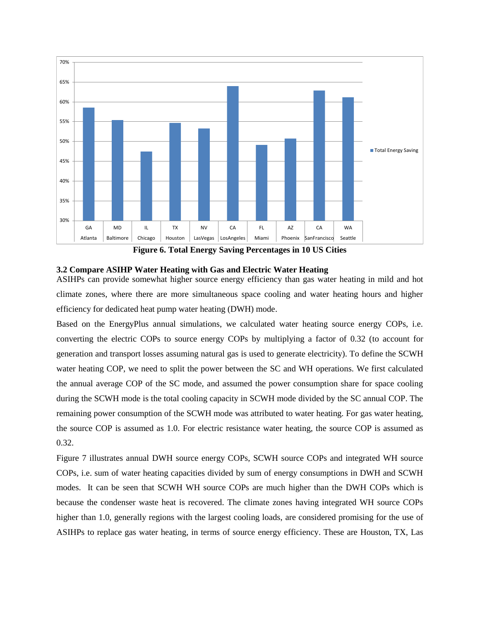

**Figure 6. Total Energy Saving Percentages in 10 US Cities**

### **3.2 Compare ASIHP Water Heating with Gas and Electric Water Heating**

ASIHPs can provide somewhat higher source energy efficiency than gas water heating in mild and hot climate zones, where there are more simultaneous space cooling and water heating hours and higher efficiency for dedicated heat pump water heating (DWH) mode.

Based on the EnergyPlus annual simulations, we calculated water heating source energy COPs, i.e. converting the electric COPs to source energy COPs by multiplying a factor of 0.32 (to account for generation and transport losses assuming natural gas is used to generate electricity). To define the SCWH water heating COP, we need to split the power between the SC and WH operations. We first calculated the annual average COP of the SC mode, and assumed the power consumption share for space cooling during the SCWH mode is the total cooling capacity in SCWH mode divided by the SC annual COP. The remaining power consumption of the SCWH mode was attributed to water heating. For gas water heating, the source COP is assumed as 1.0. For electric resistance water heating, the source COP is assumed as 0.32.

Figure 7 illustrates annual DWH source energy COPs, SCWH source COPs and integrated WH source COPs, i.e. sum of water heating capacities divided by sum of energy consumptions in DWH and SCWH modes. It can be seen that SCWH WH source COPs are much higher than the DWH COPs which is because the condenser waste heat is recovered. The climate zones having integrated WH source COPs higher than 1.0, generally regions with the largest cooling loads, are considered promising for the use of ASIHPs to replace gas water heating, in terms of source energy efficiency. These are Houston, TX, Las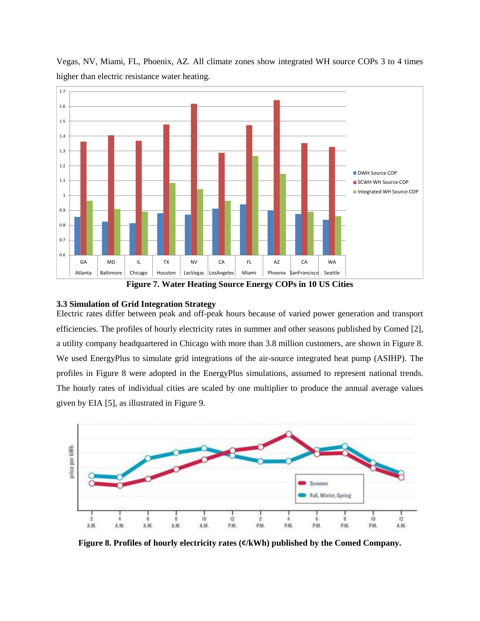

Vegas, NV, Miami, FL, Phoenix, AZ. All climate zones show integrated WH source COPs 3 to 4 times higher than electric resistance water heating.

#### **3.3 Simulation of Grid Integration Strategy**

Electric rates differ between peak and off-peak hours because of varied power generation and transport efficiencies. The profiles of hourly electricity rates in summer and other seasons published by Comed [2], a utility company headquartered in Chicago with more than 3.8 million customers, are shown in Figure 8. We used EnergyPlus to simulate grid integrations of the air-source integrated heat pump (ASIHP). The profiles in Figure 8 were adopted in the EnergyPlus simulations, assumed to represent national trends. The hourly rates of individual cities are scaled by one multiplier to produce the annual average values given by EIA [5], as illustrated in Figure 9.



**Figure 8. Profiles of hourly electricity rates (¢/kWh) published by the Comed Company.**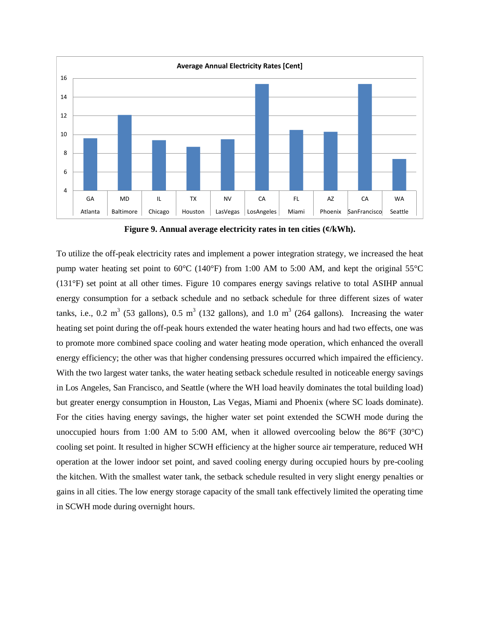

**Figure 9. Annual average electricity rates in ten cities (¢/kWh).** 

To utilize the off-peak electricity rates and implement a power integration strategy, we increased the heat pump water heating set point to 60°C (140°F) from 1:00 AM to 5:00 AM, and kept the original 55°C (131°F) set point at all other times. Figure 10 compares energy savings relative to total ASIHP annual energy consumption for a setback schedule and no setback schedule for three different sizes of water tanks, i.e., 0.2 m<sup>3</sup> (53 gallons), 0.5 m<sup>3</sup> (132 gallons), and 1.0 m<sup>3</sup> (264 gallons). Increasing the water heating set point during the off-peak hours extended the water heating hours and had two effects, one was to promote more combined space cooling and water heating mode operation, which enhanced the overall energy efficiency; the other was that higher condensing pressures occurred which impaired the efficiency. With the two largest water tanks, the water heating setback schedule resulted in noticeable energy savings in Los Angeles, San Francisco, and Seattle (where the WH load heavily dominates the total building load) but greater energy consumption in Houston, Las Vegas, Miami and Phoenix (where SC loads dominate). For the cities having energy savings, the higher water set point extended the SCWH mode during the unoccupied hours from 1:00 AM to 5:00 AM, when it allowed overcooling below the  $86^{\circ}F$  (30 $^{\circ}C$ ) cooling set point. It resulted in higher SCWH efficiency at the higher source air temperature, reduced WH operation at the lower indoor set point, and saved cooling energy during occupied hours by pre-cooling the kitchen. With the smallest water tank, the setback schedule resulted in very slight energy penalties or gains in all cities. The low energy storage capacity of the small tank effectively limited the operating time in SCWH mode during overnight hours.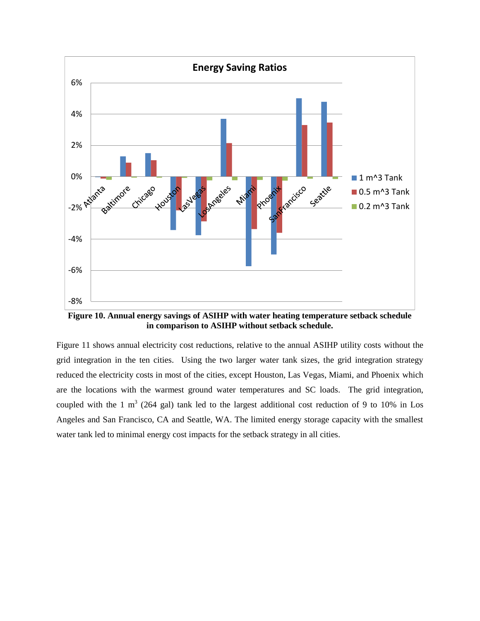

**Figure 10. Annual energy savings of ASIHP with water heating temperature setback schedule in comparison to ASIHP without setback schedule.** 

Figure 11 shows annual electricity cost reductions, relative to the annual ASIHP utility costs without the grid integration in the ten cities. Using the two larger water tank sizes, the grid integration strategy reduced the electricity costs in most of the cities, except Houston, Las Vegas, Miami, and Phoenix which are the locations with the warmest ground water temperatures and SC loads. The grid integration, coupled with the 1  $m^3$  (264 gal) tank led to the largest additional cost reduction of 9 to 10% in Los Angeles and San Francisco, CA and Seattle, WA. The limited energy storage capacity with the smallest water tank led to minimal energy cost impacts for the setback strategy in all cities.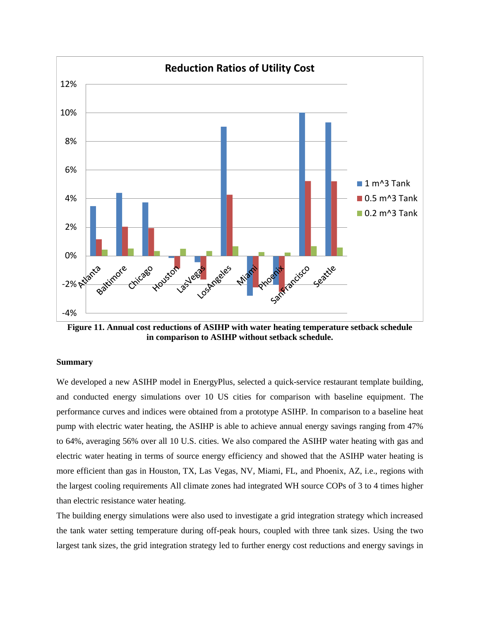

**Figure 11. Annual cost reductions of ASIHP with water heating temperature setback schedule in comparison to ASIHP without setback schedule.**

### **Summary**

We developed a new ASIHP model in EnergyPlus, selected a quick-service restaurant template building, and conducted energy simulations over 10 US cities for comparison with baseline equipment. The performance curves and indices were obtained from a prototype ASIHP. In comparison to a baseline heat pump with electric water heating, the ASIHP is able to achieve annual energy savings ranging from 47% to 64%, averaging 56% over all 10 U.S. cities. We also compared the ASIHP water heating with gas and electric water heating in terms of source energy efficiency and showed that the ASIHP water heating is more efficient than gas in Houston, TX, Las Vegas, NV, Miami, FL, and Phoenix, AZ, i.e., regions with the largest cooling requirements All climate zones had integrated WH source COPs of 3 to 4 times higher than electric resistance water heating.

The building energy simulations were also used to investigate a grid integration strategy which increased the tank water setting temperature during off-peak hours, coupled with three tank sizes. Using the two largest tank sizes, the grid integration strategy led to further energy cost reductions and energy savings in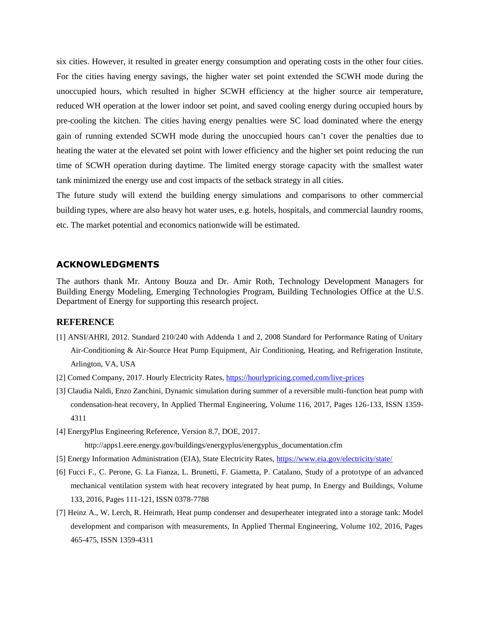six cities. However, it resulted in greater energy consumption and operating costs in the other four cities. For the cities having energy savings, the higher water set point extended the SCWH mode during the unoccupied hours, which resulted in higher SCWH efficiency at the higher source air temperature, reduced WH operation at the lower indoor set point, and saved cooling energy during occupied hours by pre-cooling the kitchen. The cities having energy penalties were SC load dominated where the energy gain of running extended SCWH mode during the unoccupied hours can't cover the penalties due to heating the water at the elevated set point with lower efficiency and the higher set point reducing the run time of SCWH operation during daytime. The limited energy storage capacity with the smallest water tank minimized the energy use and cost impacts of the setback strategy in all cities.

The future study will extend the building energy simulations and comparisons to other commercial building types, where are also heavy hot water uses, e.g. hotels, hospitals, and commercial laundry rooms, etc. The market potential and economics nationwide will be estimated.

### **ACKNOWLEDGMENTS**

The authors thank Mr. Antony Bouza and Dr. Amir Roth, Technology Development Managers for Building Energy Modeling, Emerging Technologies Program, Building Technologies Office at the U.S. Department of Energy for supporting this research project.

#### **REFERENCE**

- [1] ANSI/AHRI, 2012. Standard 210/240 with Addenda 1 and 2, 2008 Standard for Performance Rating of Unitary Air-Conditioning & Air-Source Heat Pump Equipment, Air Conditioning, Heating, and Refrigeration Institute, Arlington, VA, USA
- [2] Comed Company, 2017. Hourly Electricity Rates[, https://hourlypricing.comed.com/live-prices](https://hourlypricing.comed.com/live-prices)
- [3] Claudia Naldi, Enzo Zanchini, Dynamic simulation during summer of a reversible multi-function heat pump with condensation-heat recovery, In Applied Thermal Engineering, Volume 116, 2017, Pages 126-133, ISSN 1359- 4311
- [4] EnergyPlus Engineering Reference, Version 8.7, DOE, 2017.

http://apps1.eere.energy.gov/buildings/energyplus/energyplus\_documentation.cfm

- [5] Energy Information Administration (EIA), State Electricity Rates,<https://www.eia.gov/electricity/state/>
- [6] Fucci F., C. Perone, G. La Fianza, L. Brunetti, F. Giametta, P. Catalano, Study of a prototype of an advanced mechanical ventilation system with heat recovery integrated by heat pump, In Energy and Buildings, Volume 133, 2016, Pages 111-121, ISSN 0378-7788
- [7] Heinz A., W. Lerch, R. Heimrath, Heat pump condenser and desuperheater integrated into a storage tank: Model development and comparison with measurements, In Applied Thermal Engineering, Volume 102, 2016, Pages 465-475, ISSN 1359-4311